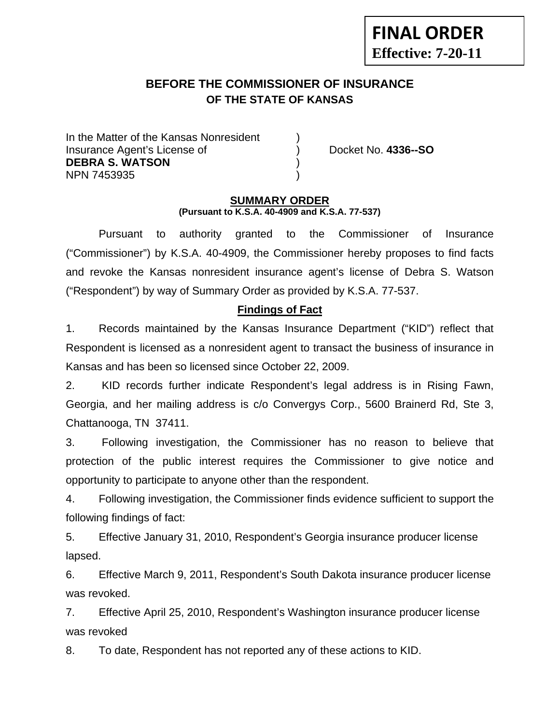# **BEFORE THE COMMISSIONER OF INSURANCE OF THE STATE OF KANSAS**

In the Matter of the Kansas Nonresident Insurance Agent's License of ) Docket No. **4336--SO DEBRA S. WATSON** ) NPN 7453935 )

**FINAL ORDER**

**Effective: 7-20-11** 

#### **SUMMARY ORDER (Pursuant to K.S.A. 40-4909 and K.S.A. 77-537)**

 Pursuant to authority granted to the Commissioner of Insurance ("Commissioner") by K.S.A. 40-4909, the Commissioner hereby proposes to find facts and revoke the Kansas nonresident insurance agent's license of Debra S. Watson ("Respondent") by way of Summary Order as provided by K.S.A. 77-537.

#### **Findings of Fact**

1. Records maintained by the Kansas Insurance Department ("KID") reflect that Respondent is licensed as a nonresident agent to transact the business of insurance in Kansas and has been so licensed since October 22, 2009.

2. KID records further indicate Respondent's legal address is in Rising Fawn, Georgia, and her mailing address is c/o Convergys Corp., 5600 Brainerd Rd, Ste 3, Chattanooga, TN 37411.

3. Following investigation, the Commissioner has no reason to believe that protection of the public interest requires the Commissioner to give notice and opportunity to participate to anyone other than the respondent.

4. Following investigation, the Commissioner finds evidence sufficient to support the following findings of fact:

5. Effective January 31, 2010, Respondent's Georgia insurance producer license lapsed.

6. Effective March 9, 2011, Respondent's South Dakota insurance producer license was revoked.

7. Effective April 25, 2010, Respondent's Washington insurance producer license was revoked

8. To date, Respondent has not reported any of these actions to KID.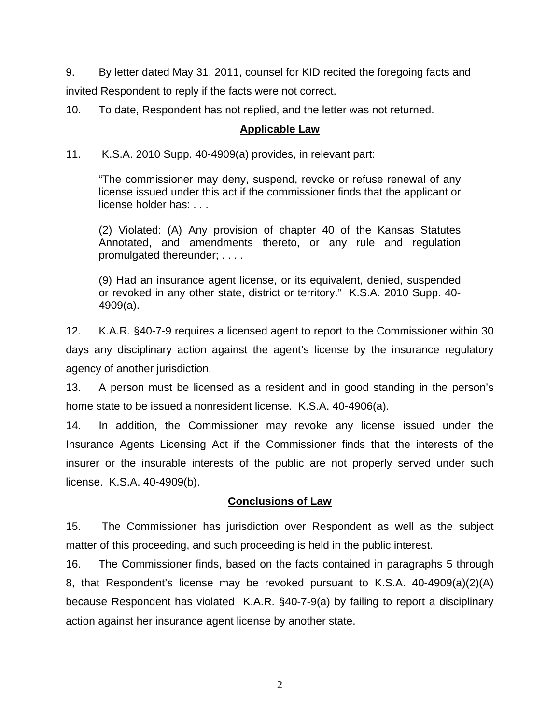9. By letter dated May 31, 2011, counsel for KID recited the foregoing facts and invited Respondent to reply if the facts were not correct.

10. To date, Respondent has not replied, and the letter was not returned.

#### **Applicable Law**

11. K.S.A. 2010 Supp. 40-4909(a) provides, in relevant part:

"The commissioner may deny, suspend, revoke or refuse renewal of any license issued under this act if the commissioner finds that the applicant or license holder has: . . .

(2) Violated: (A) Any provision of chapter 40 of the Kansas Statutes Annotated, and amendments thereto, or any rule and regulation promulgated thereunder; . . . .

(9) Had an insurance agent license, or its equivalent, denied, suspended or revoked in any other state, district or territory." K.S.A. 2010 Supp. 40- 4909(a).

12. K.A.R. §40-7-9 requires a licensed agent to report to the Commissioner within 30 days any disciplinary action against the agent's license by the insurance regulatory agency of another jurisdiction.

13. A person must be licensed as a resident and in good standing in the person's home state to be issued a nonresident license. K.S.A. 40-4906(a).

14. In addition, the Commissioner may revoke any license issued under the Insurance Agents Licensing Act if the Commissioner finds that the interests of the insurer or the insurable interests of the public are not properly served under such license. K.S.A. 40-4909(b).

# **Conclusions of Law**

15. The Commissioner has jurisdiction over Respondent as well as the subject matter of this proceeding, and such proceeding is held in the public interest.

16. The Commissioner finds, based on the facts contained in paragraphs 5 through 8, that Respondent's license may be revoked pursuant to K.S.A. 40-4909(a)(2)(A) because Respondent has violated K.A.R. §40-7-9(a) by failing to report a disciplinary action against her insurance agent license by another state.

2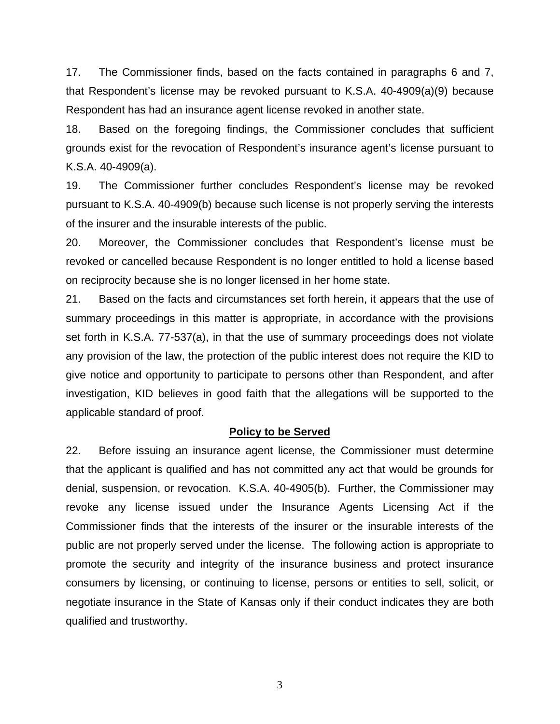17. The Commissioner finds, based on the facts contained in paragraphs 6 and 7, that Respondent's license may be revoked pursuant to K.S.A. 40-4909(a)(9) because Respondent has had an insurance agent license revoked in another state.

18. Based on the foregoing findings, the Commissioner concludes that sufficient grounds exist for the revocation of Respondent's insurance agent's license pursuant to K.S.A. 40-4909(a).

19. The Commissioner further concludes Respondent's license may be revoked pursuant to K.S.A. 40-4909(b) because such license is not properly serving the interests of the insurer and the insurable interests of the public.

20. Moreover, the Commissioner concludes that Respondent's license must be revoked or cancelled because Respondent is no longer entitled to hold a license based on reciprocity because she is no longer licensed in her home state.

21. Based on the facts and circumstances set forth herein, it appears that the use of summary proceedings in this matter is appropriate, in accordance with the provisions set forth in K.S.A. 77-537(a), in that the use of summary proceedings does not violate any provision of the law, the protection of the public interest does not require the KID to give notice and opportunity to participate to persons other than Respondent, and after investigation, KID believes in good faith that the allegations will be supported to the applicable standard of proof.

#### **Policy to be Served**

22. Before issuing an insurance agent license, the Commissioner must determine that the applicant is qualified and has not committed any act that would be grounds for denial, suspension, or revocation. K.S.A. 40-4905(b). Further, the Commissioner may revoke any license issued under the Insurance Agents Licensing Act if the Commissioner finds that the interests of the insurer or the insurable interests of the public are not properly served under the license. The following action is appropriate to promote the security and integrity of the insurance business and protect insurance consumers by licensing, or continuing to license, persons or entities to sell, solicit, or negotiate insurance in the State of Kansas only if their conduct indicates they are both qualified and trustworthy.

3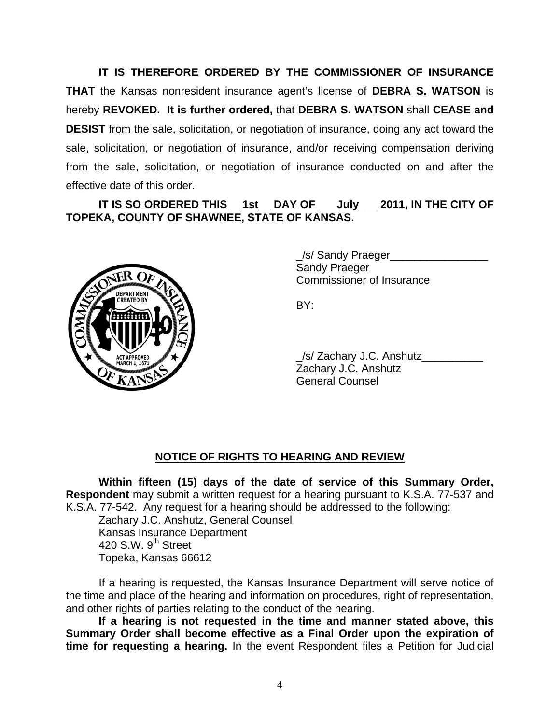**IT IS THEREFORE ORDERED BY THE COMMISSIONER OF INSURANCE THAT** the Kansas nonresident insurance agent's license of **DEBRA S. WATSON** is hereby **REVOKED. It is further ordered,** that **DEBRA S. WATSON** shall **CEASE and DESIST** from the sale, solicitation, or negotiation of insurance, doing any act toward the sale, solicitation, or negotiation of insurance, and/or receiving compensation deriving from the sale, solicitation, or negotiation of insurance conducted on and after the effective date of this order.

IT IS SO ORDERED THIS 1st DAY OF July 2011, IN THE CITY OF **TOPEKA, COUNTY OF SHAWNEE, STATE OF KANSAS.** 



 \_/s/ Sandy Praeger\_\_\_\_\_\_\_\_\_\_\_\_\_\_\_\_ Sandy Praeger Commissioner of Insurance

 \_/s/ Zachary J.C. Anshutz\_\_\_\_\_\_\_\_\_\_ Zachary J.C. Anshutz General Counsel

# **NOTICE OF RIGHTS TO HEARING AND REVIEW**

**Within fifteen (15) days of the date of service of this Summary Order, Respondent** may submit a written request for a hearing pursuant to K.S.A. 77-537 and K.S.A. 77-542. Any request for a hearing should be addressed to the following:

 Zachary J.C. Anshutz, General Counsel Kansas Insurance Department 420 S.W.  $9<sup>th</sup>$  Street Topeka, Kansas 66612

If a hearing is requested, the Kansas Insurance Department will serve notice of the time and place of the hearing and information on procedures, right of representation, and other rights of parties relating to the conduct of the hearing.

**If a hearing is not requested in the time and manner stated above, this Summary Order shall become effective as a Final Order upon the expiration of time for requesting a hearing.** In the event Respondent files a Petition for Judicial